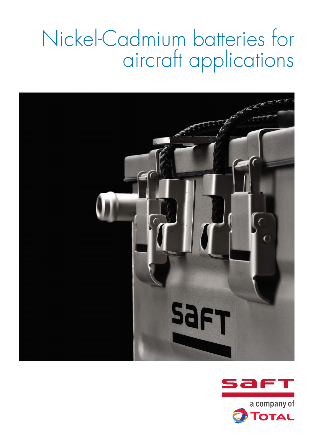## Nickel-Cadmium batteries for aircraft applications



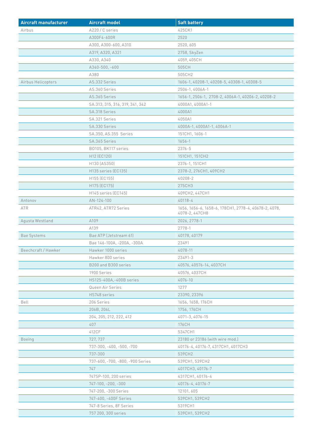| Aircraft manufacturer | <b>Aircraft model</b>            | <b>Saft battery</b>                                                    |
|-----------------------|----------------------------------|------------------------------------------------------------------------|
| Airbus                | A220 / C series                  | 425CK1                                                                 |
|                       | A300F4-600R                      | 2520                                                                   |
|                       | A300, A300-600, A310             | 2520, 605                                                              |
|                       | A319, A320, A321                 | 2758, SkyZen                                                           |
|                       | A330, A340                       | 4059, 405CH                                                            |
|                       | A340-500, -600                   | 505CH                                                                  |
|                       | A380                             | 505CH2                                                                 |
| Airbus Helicopters    | AS.332 Series                    | 1606-1, 40208-1, 40208-5, 40308-1, 40308-5                             |
|                       | AS.360 Series                    | 2506-1, 4006A-1                                                        |
|                       | AS.365 Series                    | 1656-1, 2506-1, 2708-2, 4006A-1, 40206-2, 40208-2                      |
|                       | SA.313, 315, 316, 319, 341, 342  | 4000A1, 4000A1-1                                                       |
|                       | SA.318 Series                    | 4000A1                                                                 |
|                       | SA.321 Series                    | 4050A1                                                                 |
|                       | SA.330 Series                    | 4000A-1, 4000A1-1, 4006A-1                                             |
|                       | SA.350, AS.355 Series            | 151CH1, 1606-1                                                         |
|                       | SA.365 Series                    | $1656 - 1$                                                             |
|                       | <b>B0105, BK117 series</b>       | 2376-5                                                                 |
|                       | H12 (EC120)                      | 151CH1, 151CH2                                                         |
|                       | H130 (AS350)                     | 2376-1, 151CH1                                                         |
|                       | H135 series (EC135)              | 2378-2, 276CH1, 409CH2                                                 |
|                       | H155 (EC155)                     | 40208-2                                                                |
|                       | H175 (EC175)                     | 275CH3                                                                 |
|                       | H145 series (EC145)              | 409CH2, 447CH1                                                         |
| Antonov               | AN-124-100                       | 40118-4                                                                |
| <b>ATR</b>            | ATR42, ATR72 Series              | 1656, 1656-6, 1658-6, 178CH1, 2778-4, 40678-2, 4078,<br>4078-2, 447CH8 |
| Agusta Westland       | A109                             | 2026, 2778-1                                                           |
|                       | A139                             | 2778-1                                                                 |
| <b>Bae Systems</b>    | Bae ATP (Jetstream 61)           | 40178, 40179                                                           |
|                       | Bae 146-100A, -200A, -300A       | 23491                                                                  |
| Beechcraft / Hawker   | Hawker 1000 series               | 4078-11                                                                |
|                       | Hawker 800 series                | 23491-3                                                                |
|                       | B200 and B300 series             | 40576, 40576-14, 4037CH                                                |
|                       | 1900 Series                      | 40576, 4037CH                                                          |
|                       | HS125-400A,-400B series          | 4076-10                                                                |
|                       | Queen Air Series                 | 1277                                                                   |
|                       | HS748 series                     | 23390, 23396                                                           |
| Bell                  | 206 Series                       | 1656, 1658, 176CH                                                      |
|                       | 206B, 206L                       | 1756, 176CH                                                            |
|                       | 204, 205, 212, 222, 412          | 4071-3, 4076-15                                                        |
|                       | 407                              | 176CH                                                                  |
|                       | 412CF                            | 5347CH1                                                                |
| <b>Boeing</b>         | 727, 737                         | 23180 or 23186 (with wire mod.)                                        |
|                       | 737-300, -400, -500, -700        | 40176-4, 40176-7, 4317CH1, 4017CH3                                     |
|                       | 737-300                          | 539CH2                                                                 |
|                       | 737-600, -700, -800, -900 Series | 539CH1, 539CH2                                                         |
|                       | 747                              | 4017CH3, 40176-7                                                       |
|                       | 747SP-100, 200 series            | 4317CH1, 40176-4                                                       |
|                       | 747-100, -200, -300              | 40176-4, 40176-7                                                       |
|                       | 747-200, -300 Series             | 12101, 605                                                             |
|                       | 747-400, -400F Series            | 539CH1, 539CH2                                                         |
|                       | 747-8 Series, 8F Series          | 5319CH1                                                                |
|                       | 757 200, 300 series              | 539CH1, 539CH2                                                         |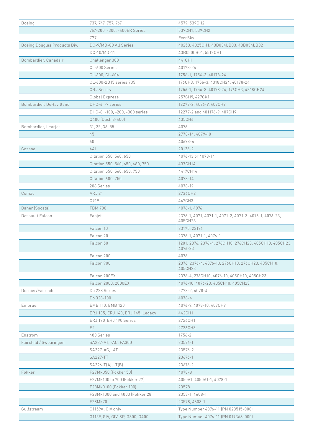| <b>Boeing</b>                | 737, 747, 757, 767                | 4579, 539CH2                                                       |
|------------------------------|-----------------------------------|--------------------------------------------------------------------|
|                              | 767-200, -300, -400ER Series      | 539CH1, 539CH2                                                     |
|                              | 777                               | EverSky                                                            |
| Boeing Douglas Products Div. | DC-9/MD-80 All Series             | 40253, 4025CH1, 43B034LB03, 43B034LB02                             |
|                              | DC-10/MD-11                       | 43B050LB01, 5512CH1                                                |
| Bombardier, Canadair         | Challenger 300                    | 441CH1                                                             |
|                              | CL-600 Series                     | 40178-26                                                           |
|                              | CL-600, CL-604                    | 1756-1, 1756-3, 40178-24                                           |
|                              | CL-600-2D15 series 705            | 176CH3, 1756-3, 4318CH24, 40178-24                                 |
|                              | <b>CRJ</b> Series                 | 1756-1, 1756-3, 40178-24, 176CH3, 4318CH24                         |
|                              | Global Express                    | 257CH9, 427CK1                                                     |
| Bombardier, DeHavilland      | DHC-6, -7 series                  | 12277-2, 4076-9, 407CH9                                            |
|                              | DHC-8, -100, -200, -300 series    | 12277-2 and 401176-9, 407CH9                                       |
|                              | Q400 (Dash 8-400)                 | 435CH6                                                             |
| Bombardier, Learjet          | 31, 35, 36, 55                    | 4076                                                               |
|                              | 45                                | 2778-14, 4079-10                                                   |
|                              | 60                                | 40678-4                                                            |
| Cessna                       | 441                               | 20126-2                                                            |
|                              | Citation 550, 560, 650            | 4076-13 or 4078-14                                                 |
|                              | Citation 550, 560, 650, 680, 750  | 437CH14                                                            |
|                              | Citation 550, 560, 650, 750       | 4417CH14                                                           |
|                              | Citation 680, 750                 | 4078-14                                                            |
|                              | 208 Series                        | 4078-19                                                            |
| Comac                        | <b>ARJ 21</b>                     | 2736CH2                                                            |
|                              | C919                              | 447CH3                                                             |
| Daher (Socata)               | <b>TBM 700</b>                    | 4076-1, 4076                                                       |
| Dassault Falcon              | Fanjet                            | 2376-1, 4071, 4071-1, 4071-2, 4071-3, 4076-1, 4076-23,<br>405CH23  |
|                              | Falcon 10                         | 23175, 23176                                                       |
|                              | Falcon 20                         | 2376-1, 4071-1, 4076-1                                             |
|                              | Falcon 50                         | 1201, 2376, 2376-4, 276CH10, 276CH23, 405CH10, 405CH23,<br>4076-23 |
|                              | Falcon 200                        | 4076                                                               |
|                              | Falcon 900                        | 2376, 2376-4, 4076-10, 276CH10, 276CH23, 405CH10,<br>405CH23       |
|                              | Falcon 900EX                      | 2376-4, 276CH10, 4076-10, 405CH10, 405CH23                         |
|                              | Falcon 2000, 2000EX               | 4076-10, 4076-23, 405CH10, 405CH23                                 |
| Dornier/Fairchild            | Do 228 Series                     | 2778-2, 4078-4                                                     |
|                              | Do 328-100                        | 4078-4                                                             |
| Embraer                      | EMB 110, EMB 120                  | 4076-9, 4078-10, 407CH9                                            |
|                              | ERJ 135, ERJ 140, ERJ 145, Legacy | 442CH1                                                             |
|                              | ERJ 170 ERJ 190 Series            | 2726CH1                                                            |
|                              | E <sub>2</sub>                    | 2726CH3                                                            |
| Enstrom                      | 480 Series                        | 1756-2                                                             |
| Fairchild / Swearingen       | SA227-AT, -AC, FA300              | 23576-1                                                            |
|                              | $SA227-AC$ , $-AT$                | 23576-2                                                            |
|                              | <b>SA227-TT</b>                   | 23676-1                                                            |
|                              | $S_A226-T(A), -T(B)$              | 23676-2                                                            |
| Fokker                       | F27Mk050 (Fokker 50)              | 4078-8                                                             |
|                              | F27Mk100 to 700 (Fokker 27)       | 4050A1, 4050A1-1, 4078-1                                           |
|                              | F28Mk0100 (Fokker 100)            | 23578                                                              |
|                              | F28Mk1000 and 4000 (Fokker 28)    | 2353-1, 4608-1                                                     |
|                              | F28Mk70                           | 23578, 4608-1                                                      |
| Gulfstream                   | G1159A, GIV only                  | Type Number 4076-11 (PN 023515-000)                                |
|                              | G1159, GIV, GIV-SP, G300, G400    | Type Number 4076-11 (PN 019368-000)                                |